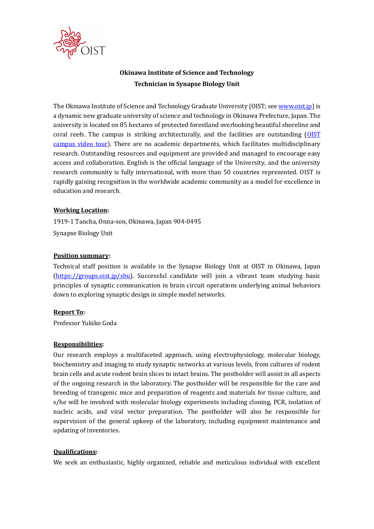

# Okinawa Institute of Science and Technology Technician in Synapse Biology Unit

The Okinawa Institute of Science and Technology Graduate University (OIST; see www.oist.jp) is a dynamic new graduate university of science and technology in Okinawa Prefecture, Japan. The university is located on 85 hectares of protected forestland overlooking beautiful shoreline and coral reefs. The campus is striking architecturally, and the facilities are outstanding (OIST campus video tour). There are no academic departments, which facilitates multidisciplinary research. Outstanding resources and equipment are provided and managed to encourage easy access and collaboration. English is the official language of the University, and the university research community is fully international, with more than 50 countries represented. OIST is rapidly gaining recognition in the worldwide academic community as a model for excellence in education and research.

## Working Location:

1919-1 Tancha, Onna-son, Okinawa, Japan 904-0495 Synapse Biology Unit

## Position summary:

Technical staff position is available in the Synapse Biology Unit at OIST in Okinawa, Japan (https://groups.oist.jp/sbu). Successful candidate will join a vibrant team studying basic principles of synaptic communication in brain circuit operations underlying animal behaviors down to exploring synaptic design in simple model networks.

#### Report To:

Professor Yukiko Goda

# Responsibilities:

Our research employs a multifaceted approach, using electrophysiology, molecular biology, biochemistry and imaging to study synaptic networks at various levels, from cultures of rodent brain cells and acute rodent brain slices to intact brains. The postholder will assist in all aspects of the ongoing research in the laboratory. The postholder will be responsible for the care and breeding of transgenic mice and preparation of reagents and materials for tissue culture, and s/he will be involved with molecular biology experiments including cloning, PCR, isolation of nucleic acids, and viral vector preparation. The postholder will also be responsible for supervision of the general upkeep of the laboratory, including equipment maintenance and updating of inventories.

#### Qualifications:

We seek an enthusiastic, highly organized, reliable and meticulous individual with excellent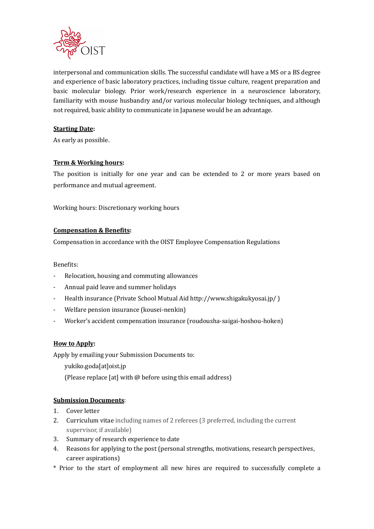

interpersonal and communication skills. The successful candidate will have a MS or a BS degree and experience of basic laboratory practices, including tissue culture, reagent preparation and basic molecular biology. Prior work/research experience in a neuroscience laboratory, familiarity with mouse husbandry and/or various molecular biology techniques, and although not required, basic ability to communicate in Japanese would be an advantage.

# Starting Date:

As early as possible.

## Term & Working hours:

The position is initially for one year and can be extended to 2 or more years based on performance and mutual agreement.

Working hours: Discretionary working hours

## Compensation & Benefits:

Compensation in accordance with the OIST Employee Compensation Regulations

Benefits:

- Relocation, housing and commuting allowances
- Annual paid leave and summer holidays
- Health insurance (Private School Mutual Aid http://www.shigakukyosai.jp/ )
- Welfare pension insurance (kousei-nenkin)
- Worker's accident compensation insurance (roudousha-saigai-hoshou-hoken)

#### How to Apply:

Apply by emailing your Submission Documents to:

- yukiko.goda[at]oist.jp
- (Please replace [at] with @ before using this email address)

# Submission Documents:

- 1. Cover letter
- 2. Curriculum vitae including names of 2 referees (3 preferred, including the current supervisor, if available)
- 3. Summary of research experience to date
- 4. Reasons for applying to the post (personal strengths, motivations, research perspectives, career aspirations)
- \* Prior to the start of employment all new hires are required to successfully complete a